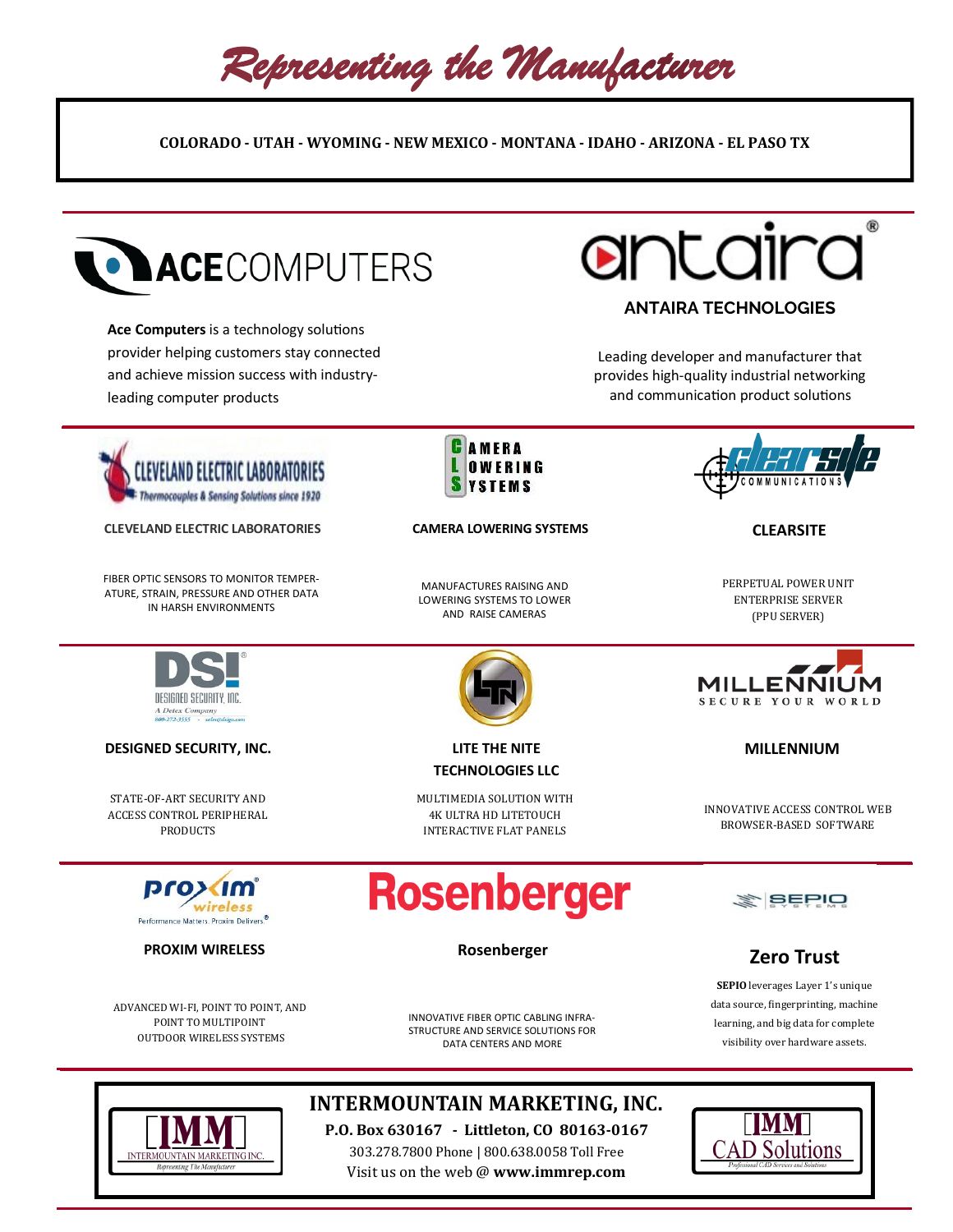Representing the Manufacturer

**COLORADO - UTAH - WYOMING - NEW MEXICO - MONTANA - IDAHO - ARIZONA - EL PASO TX** 



TERMOUNTAIN MARKETING INC

# **INTERMOUNTAIN MARKETING, INC.**

**P.O. Box 630167 - Littleton, CO 80163-0167** 303.278.7800 Phone | 800.638.0058 Toll Free Visit us on the web @ **www.immrep.com**

D Solutions